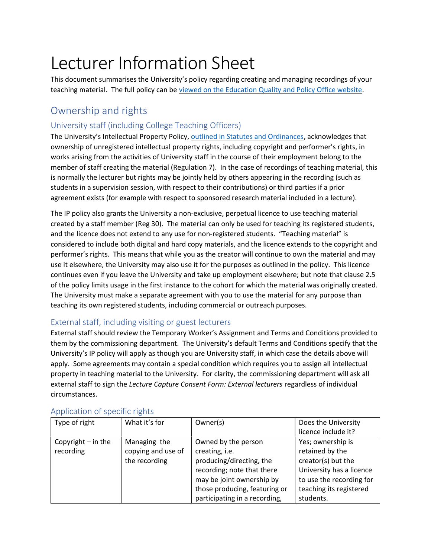# Lecturer Information Sheet

This document summarises the University's policy regarding creating and managing recordings of your teaching material. The full policy can be viewed on the Education Quality and Policy Office website.

# Ownership and rights

## University staff (including College Teaching Officers)

The University's Intellectual Property Policy, outlined in Statutes and Ordinances, acknowledges that ownership of unregistered intellectual property rights, including copyright and performer's rights, in works arising from the activities of University staff in the course of their employment belong to the member of staff creating the material (Regulation 7). In the case of recordings of teaching material, this is normally the lecturer but rights may be jointly held by others appearing in the recording (such as students in a supervision session, with respect to their contributions) or third parties if a prior agreement exists (for example with respect to sponsored research material included in a lecture).

The IP policy also grants the University a non-exclusive, perpetual licence to use teaching material created by a staff member (Reg 30). The material can only be used for teaching its registered students, and the licence does not extend to any use for non-registered students. "Teaching material" is considered to include both digital and hard copy materials, and the licence extends to the copyright and performer's rights. This means that while you as the creator will continue to own the material and may use it elsewhere, the University may also use it for the purposes as outlined in the policy. This licence continues even if you leave the University and take up employment elsewhere; but note that clause 2.5 of the policy limits usage in the first instance to the cohort for which the material was originally created. The University must make a separate agreement with you to use the material for any purpose than teaching its own registered students, including commercial or outreach purposes.

## External staff, including visiting or guest lecturers

External staff should review the Temporary Worker's Assignment and Terms and Conditions provided to them by the commissioning department. The University's default Terms and Conditions specify that the University's IP policy will apply as though you are University staff, in which case the details above will apply. Some agreements may contain a special condition which requires you to assign all intellectual property in teaching material to the University. For clarity, the commissioning department will ask all external staff to sign the Lecture Capture Consent Form: External lecturers regardless of individual circumstances.

| Type of right        | What it's for      | Owner(s)                      | Does the University      |
|----------------------|--------------------|-------------------------------|--------------------------|
|                      |                    |                               | licence include it?      |
| Copyright $-$ in the | Managing the       | Owned by the person           | Yes; ownership is        |
| recording            | copying and use of | creating, i.e.                | retained by the          |
|                      | the recording      | producing/directing, the      | creator(s) but the       |
|                      |                    | recording; note that there    | University has a licence |
|                      |                    | may be joint ownership by     | to use the recording for |
|                      |                    | those producing, featuring or | teaching its registered  |
|                      |                    | participating in a recording, | students.                |

#### Application of specific rights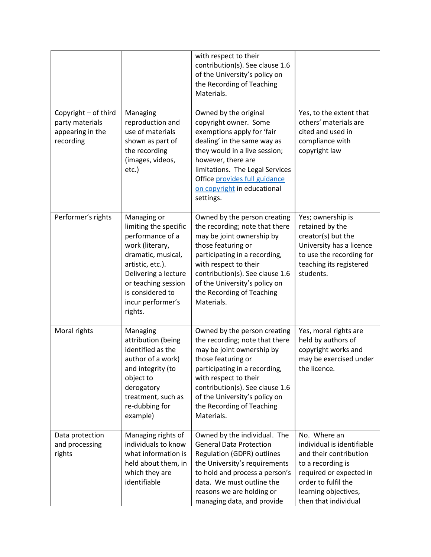|                                                                          |                                                                                                                                                                                                                          | with respect to their<br>contribution(s). See clause 1.6<br>of the University's policy on<br>the Recording of Teaching<br>Materials.                                                                                                                                                       |                                                                                                                                                                                             |
|--------------------------------------------------------------------------|--------------------------------------------------------------------------------------------------------------------------------------------------------------------------------------------------------------------------|--------------------------------------------------------------------------------------------------------------------------------------------------------------------------------------------------------------------------------------------------------------------------------------------|---------------------------------------------------------------------------------------------------------------------------------------------------------------------------------------------|
| Copyright - of third<br>party materials<br>appearing in the<br>recording | Managing<br>reproduction and<br>use of materials<br>shown as part of<br>the recording<br>(images, videos,<br>etc.)                                                                                                       | Owned by the original<br>copyright owner. Some<br>exemptions apply for 'fair<br>dealing' in the same way as<br>they would in a live session;<br>however, there are<br>limitations. The Legal Services<br>Office provides full guidance<br>on copyright in educational<br>settings.         | Yes, to the extent that<br>others' materials are<br>cited and used in<br>compliance with<br>copyright law                                                                                   |
| Performer's rights                                                       | Managing or<br>limiting the specific<br>performance of a<br>work (literary,<br>dramatic, musical,<br>artistic, etc.).<br>Delivering a lecture<br>or teaching session<br>is considered to<br>incur performer's<br>rights. | Owned by the person creating<br>the recording; note that there<br>may be joint ownership by<br>those featuring or<br>participating in a recording,<br>with respect to their<br>contribution(s). See clause 1.6<br>of the University's policy on<br>the Recording of Teaching<br>Materials. | Yes; ownership is<br>retained by the<br>creator(s) but the<br>University has a licence<br>to use the recording for<br>teaching its registered<br>students.                                  |
| Moral rights                                                             | Managing<br>attribution (being<br>identified as the<br>author of a work)<br>and integrity (to<br>object to<br>derogatory<br>treatment, such as<br>re-dubbing for<br>example)                                             | Owned by the person creating<br>the recording; note that there<br>may be joint ownership by<br>those featuring or<br>participating in a recording,<br>with respect to their<br>contribution(s). See clause 1.6<br>of the University's policy on<br>the Recording of Teaching<br>Materials. | Yes, moral rights are<br>held by authors of<br>copyright works and<br>may be exercised under<br>the licence.                                                                                |
| Data protection<br>and processing<br>rights                              | Managing rights of<br>individuals to know<br>what information is<br>held about them, in<br>which they are<br>identifiable                                                                                                | Owned by the individual. The<br><b>General Data Protection</b><br><b>Regulation (GDPR) outlines</b><br>the University's requirements<br>to hold and process a person's<br>data. We must outline the<br>reasons we are holding or<br>managing data, and provide                             | No. Where an<br>individual is identifiable<br>and their contribution<br>to a recording is<br>required or expected in<br>order to fulfil the<br>learning objectives,<br>then that individual |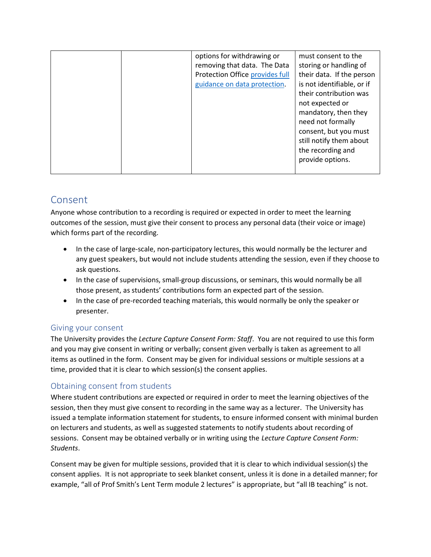| options for withdrawing or      | must consent to the        |
|---------------------------------|----------------------------|
| removing that data. The Data    | storing or handling of     |
| Protection Office provides full | their data. If the person  |
| guidance on data protection.    | is not identifiable, or if |
|                                 | their contribution was     |
|                                 | not expected or            |
|                                 | mandatory, then they       |
|                                 | need not formally          |
|                                 | consent, but you must      |
|                                 | still notify them about    |
|                                 | the recording and          |
|                                 | provide options.           |
|                                 |                            |
|                                 |                            |

# Consent

Anyone whose contribution to a recording is required or expected in order to meet the learning outcomes of the session, must give their consent to process any personal data (their voice or image) which forms part of the recording.

- In the case of large-scale, non-participatory lectures, this would normally be the lecturer and any guest speakers, but would not include students attending the session, even if they choose to ask questions.
- In the case of supervisions, small-group discussions, or seminars, this would normally be all those present, as students' contributions form an expected part of the session.
- In the case of pre-recorded teaching materials, this would normally be only the speaker or presenter.

#### Giving your consent

The University provides the Lecture Capture Consent Form: Staff. You are not required to use this form and you may give consent in writing or verbally; consent given verbally is taken as agreement to all items as outlined in the form. Consent may be given for individual sessions or multiple sessions at a time, provided that it is clear to which session(s) the consent applies.

## Obtaining consent from students

Where student contributions are expected or required in order to meet the learning objectives of the session, then they must give consent to recording in the same way as a lecturer. The University has issued a template information statement for students, to ensure informed consent with minimal burden on lecturers and students, as well as suggested statements to notify students about recording of sessions. Consent may be obtained verbally or in writing using the Lecture Capture Consent Form: Students.

Consent may be given for multiple sessions, provided that it is clear to which individual session(s) the consent applies. It is not appropriate to seek blanket consent, unless it is done in a detailed manner; for example, "all of Prof Smith's Lent Term module 2 lectures" is appropriate, but "all IB teaching" is not.